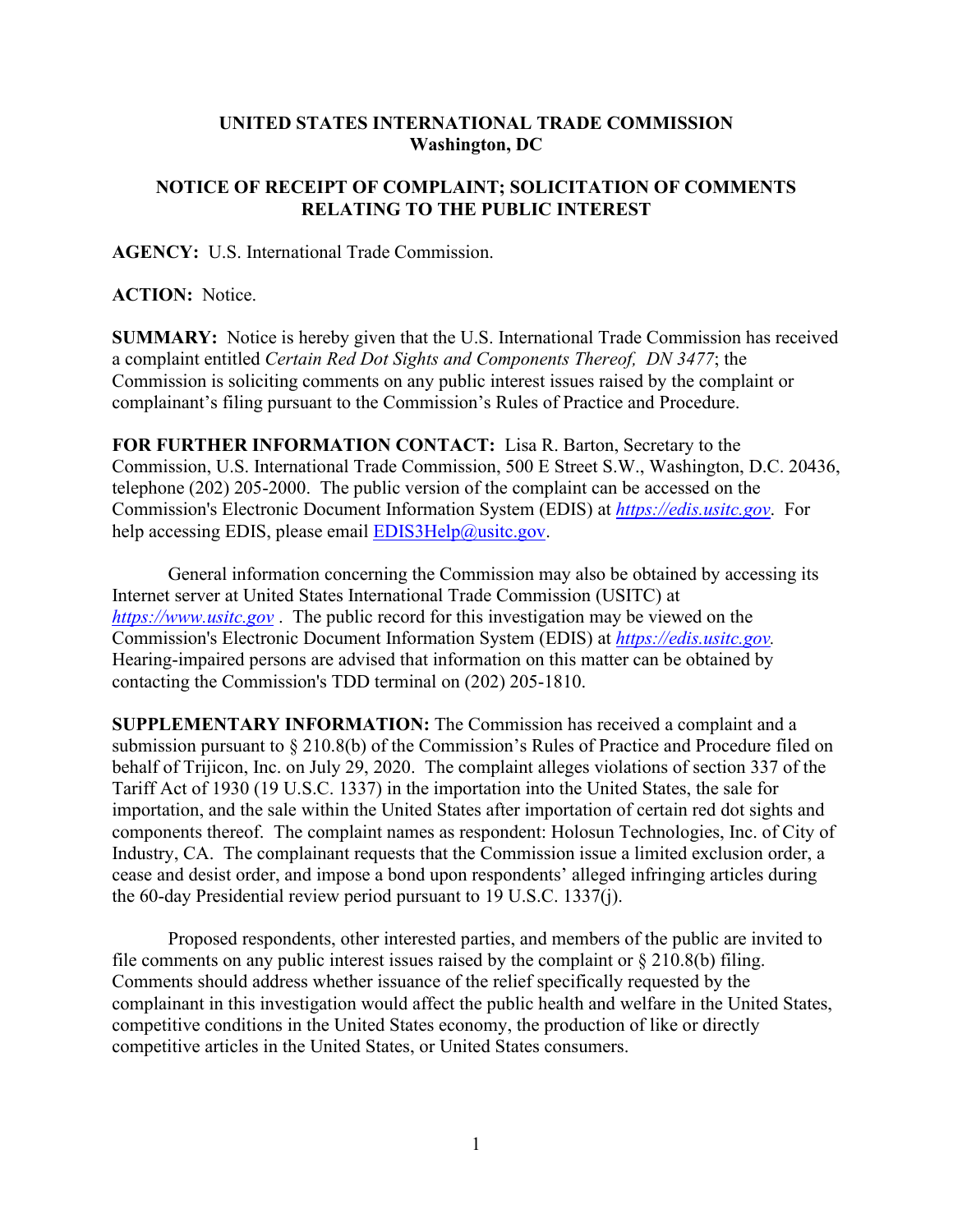## **UNITED STATES INTERNATIONAL TRADE COMMISSION Washington, DC**

## **NOTICE OF RECEIPT OF COMPLAINT; SOLICITATION OF COMMENTS RELATING TO THE PUBLIC INTEREST**

**AGENCY:** U.S. International Trade Commission.

## **ACTION:** Notice.

**SUMMARY:** Notice is hereby given that the U.S. International Trade Commission has received a complaint entitled *Certain Red Dot Sights and Components Thereof, DN 3477*; the Commission is soliciting comments on any public interest issues raised by the complaint or complainant's filing pursuant to the Commission's Rules of Practice and Procedure.

**FOR FURTHER INFORMATION CONTACT:** Lisa R. Barton, Secretary to the Commission, U.S. International Trade Commission, 500 E Street S.W., Washington, D.C. 20436, telephone (202) 205-2000. The public version of the complaint can be accessed on the Commission's Electronic Document Information System (EDIS) at *[https://edis.usitc.gov](https://edis.usitc.gov/)*. For help accessing EDIS, please email [EDIS3Help@usitc.gov.](mailto:EDIS3Help@usitc.gov)

General information concerning the Commission may also be obtained by accessing its Internet server at United States International Trade Commission (USITC) at *[https://www.usitc.gov](https://www.usitc.gov/)* . The public record for this investigation may be viewed on the Commission's Electronic Document Information System (EDIS) at *[https://edis.usitc.gov.](https://edis.usitc.gov/)* Hearing-impaired persons are advised that information on this matter can be obtained by contacting the Commission's TDD terminal on (202) 205-1810.

**SUPPLEMENTARY INFORMATION:** The Commission has received a complaint and a submission pursuant to § 210.8(b) of the Commission's Rules of Practice and Procedure filed on behalf of Trijicon, Inc. on July 29, 2020. The complaint alleges violations of section 337 of the Tariff Act of 1930 (19 U.S.C. 1337) in the importation into the United States, the sale for importation, and the sale within the United States after importation of certain red dot sights and components thereof. The complaint names as respondent: Holosun Technologies, Inc. of City of Industry, CA. The complainant requests that the Commission issue a limited exclusion order, a cease and desist order, and impose a bond upon respondents' alleged infringing articles during the 60-day Presidential review period pursuant to 19 U.S.C. 1337(j).

Proposed respondents, other interested parties, and members of the public are invited to file comments on any public interest issues raised by the complaint or  $\S 210.8(b)$  filing. Comments should address whether issuance of the relief specifically requested by the complainant in this investigation would affect the public health and welfare in the United States, competitive conditions in the United States economy, the production of like or directly competitive articles in the United States, or United States consumers.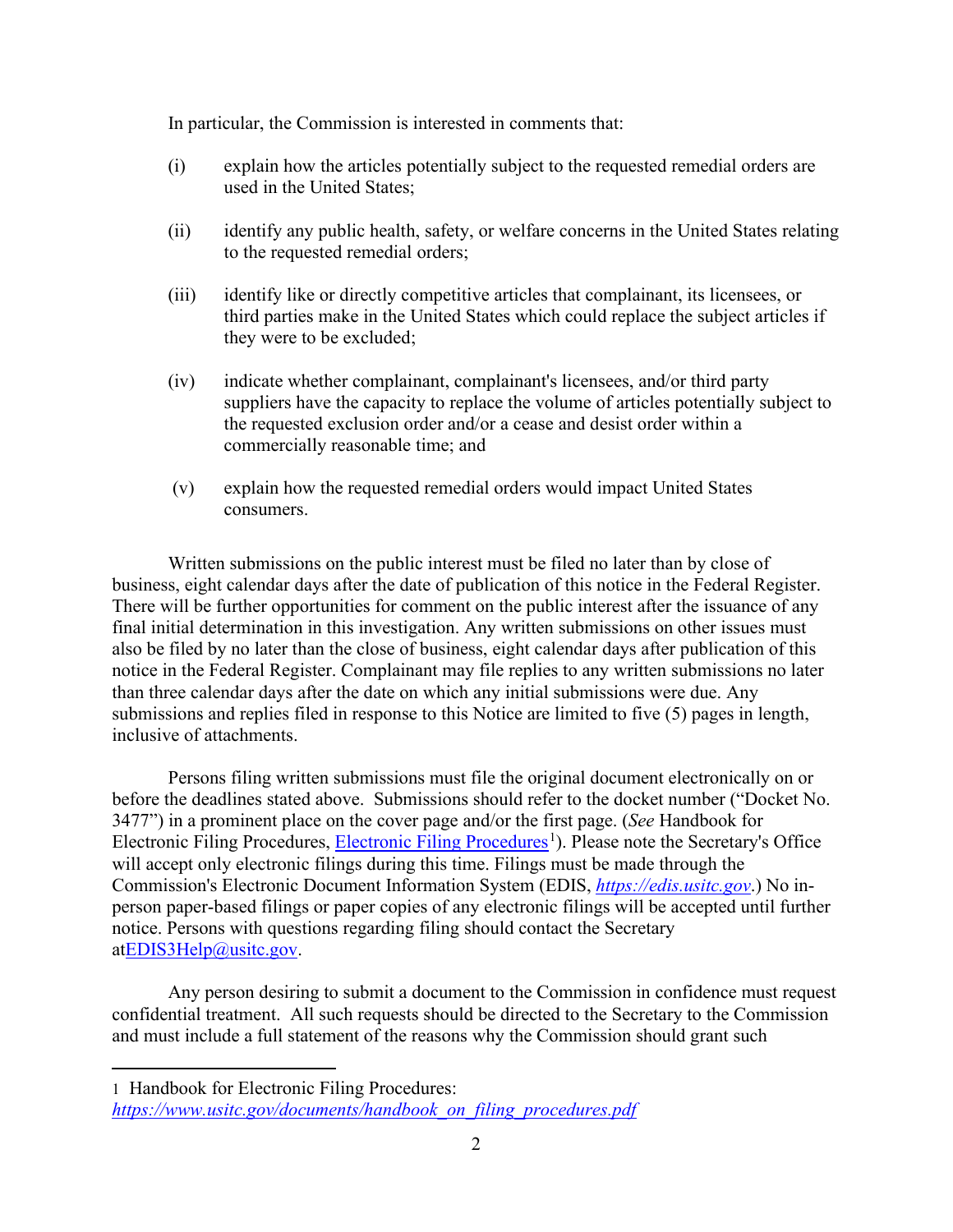In particular, the Commission is interested in comments that:

- (i) explain how the articles potentially subject to the requested remedial orders are used in the United States;
- (ii) identify any public health, safety, or welfare concerns in the United States relating to the requested remedial orders;
- (iii) identify like or directly competitive articles that complainant, its licensees, or third parties make in the United States which could replace the subject articles if they were to be excluded;
- (iv) indicate whether complainant, complainant's licensees, and/or third party suppliers have the capacity to replace the volume of articles potentially subject to the requested exclusion order and/or a cease and desist order within a commercially reasonable time; and
- (v) explain how the requested remedial orders would impact United States consumers.

Written submissions on the public interest must be filed no later than by close of business, eight calendar days after the date of publication of this notice in the Federal Register. There will be further opportunities for comment on the public interest after the issuance of any final initial determination in this investigation. Any written submissions on other issues must also be filed by no later than the close of business, eight calendar days after publication of this notice in the Federal Register. Complainant may file replies to any written submissions no later than three calendar days after the date on which any initial submissions were due. Any submissions and replies filed in response to this Notice are limited to five (5) pages in length, inclusive of attachments.

Persons filing written submissions must file the original document electronically on or before the deadlines stated above. Submissions should refer to the docket number ("Docket No. 3477") in a prominent place on the cover page and/or the first page. (*See* Handbook for Electronic Filing Procedures, [Electronic Filing Procedures](https://www.usitc.gov/documents/handbook_on_filing_procedures.pdf)<sup>[1](#page-1-0)</sup>). Please note the Secretary's Office will accept only electronic filings during this time. Filings must be made through the Commission's Electronic Document Information System (EDIS, *[https://edis.usitc.gov](https://edis.usitc.gov/)*.) No inperson paper-based filings or paper copies of any electronic filings will be accepted until further notice. Persons with questions regarding filing should contact the Secretary a[tEDIS3Help@usitc.gov.](mailto:EDIS3Help@usitc.gov)

Any person desiring to submit a document to the Commission in confidence must request confidential treatment. All such requests should be directed to the Secretary to the Commission and must include a full statement of the reasons why the Commission should grant such

<span id="page-1-0"></span><sup>1</sup> Handbook for Electronic Filing Procedures:

*[https://www.usitc.gov/documents/handbook\\_on\\_filing\\_procedures.pdf](https://www.usitc.gov/documents/handbook_on_filing_procedures.pdf)*